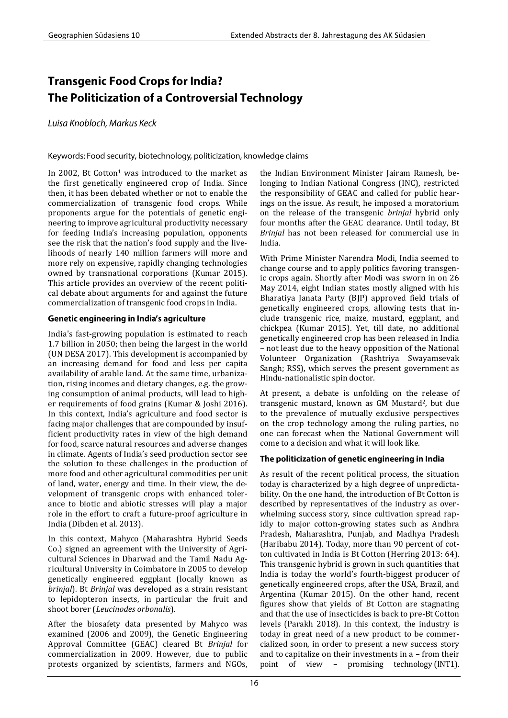# **Transgenic Food Crops for India?** The Politicization of a Controversial Technology

Luisa Knobloch, Markus Keck

Keywords: Food security, biotechnology, politicization, knowledge claims

In 2002, Bt Cotton<sup>1</sup> was introduced to the market as the first genetically engineered crop of India. Since then, it has been debated whether or not to enable the commercialization of transgenic food crops. While proponents argue for the potentials of genetic engineering to improve agricultural productivity necessary for feeding India's increasing population, opponents see the risk that the nation's food supply and the livelihoods of nearly 140 million farmers will more and more rely on expensive, rapidly changing technologies owned by transnational corporations (Kumar 2015). This article provides an overview of the recent political debate about arguments for and against the future commercialization of transgenic food crops in India.

### Genetic engineering in India's agriculture

India's fast-growing population is estimated to reach 1.7 billion in 2050; then being the largest in the world (UN DESA 2017). This development is accompanied by an increasing demand for food and less per capita availability of arable land. At the same time, urbanization, rising incomes and dietary changes, e.g. the growing consumption of animal products, will lead to higher requirements of food grains (Kumar & Joshi 2016). In this context, India's agriculture and food sector is facing major challenges that are compounded by insufficient productivity rates in view of the high demand for food, scarce natural resources and adverse changes in climate. Agents of India's seed production sector see the solution to these challenges in the production of more food and other agricultural commodities per unit of land, water, energy and time. In their view, the development of transgenic crops with enhanced tolerance to biotic and abiotic stresses will play a major role in the effort to craft a future-proof agriculture in India (Dibden et al. 2013).

In this context, Mahyco (Maharashtra Hybrid Seeds Co.) signed an agreement with the University of Agricultural Sciences in Dharwad and the Tamil Nadu Agricultural University in Coimbatore in 2005 to develop genetically engineered eggplant (locally known as *brinjal*). Bt *Brinjal* was developed as a strain resistant to lepidopteron insects, in particular the fruit and shoot borer (*Leucinodes orbonalis*).

After the biosafety data presented by Mahyco was examined (2006 and 2009), the Genetic Engineering Approval Committee (GEAC) cleared Bt *Brinjal* for commercialization in 2009. However, due to public protests organized by scientists, farmers and NGOs,

the Indian Environment Minister Jairam Ramesh, belonging to Indian National Congress (INC), restricted the responsibility of GEAC and called for public hearings on the issue. As result, he imposed a moratorium on the release of the transgenic *brinjal* hybrid only four months after the GEAC clearance. Until today, Bt *Brinjal* has not been released for commercial use in India.

With Prime Minister Narendra Modi, India seemed to change course and to apply politics favoring transgenic crops again. Shortly after Modi was sworn in on 26 May 2014, eight Indian states mostly aligned with his Bharatiya Janata Party (BJP) approved field trials of genetically engineered crops, allowing tests that include transgenic rice, maize, mustard, eggplant, and chickpea (Kumar 2015). Yet, till date, no additional genetically engineered crop has been released in India – not least due to the heavy opposition of the National Volunteer Organization (Rashtriya Swayamsevak Sangh; RSS), which serves the present government as Hindu-nationalistic spin doctor.

At present, a debate is unfolding on the release of transgenic mustard, known as GM Mustard2, but due to the prevalence of mutually exclusive perspectives on the crop technology among the ruling parties, no one can forecast when the National Government will come to a decision and what it will look like.

## The politicization of genetic engineering in India

As result of the recent political process, the situation today is characterized by a high degree of unpredictability. On the one hand, the introduction of Bt Cotton is described by representatives of the industry as overwhelming success story, since cultivation spread rapidly to major cotton-growing states such as Andhra Pradesh, Maharashtra, Punjab, and Madhya Pradesh (Haribabu 2014). Today, more than 90 percent of cotton cultivated in India is Bt Cotton (Herring 2013: 64). This transgenic hybrid is grown in such quantities that India is today the world's fourth-biggest producer of genetically engineered crops, after the USA, Brazil, and Argentina (Kumar 2015). On the other hand, recent figures show that yields of Bt Cotton are stagnating and that the use of insecticides is back to pre-Bt Cotton levels (Parakh 2018). In this context, the industry is today in great need of a new product to be commercialized soon, in order to present a new success story and to capitalize on their investments in a – from their point of view – promising technology (INT1).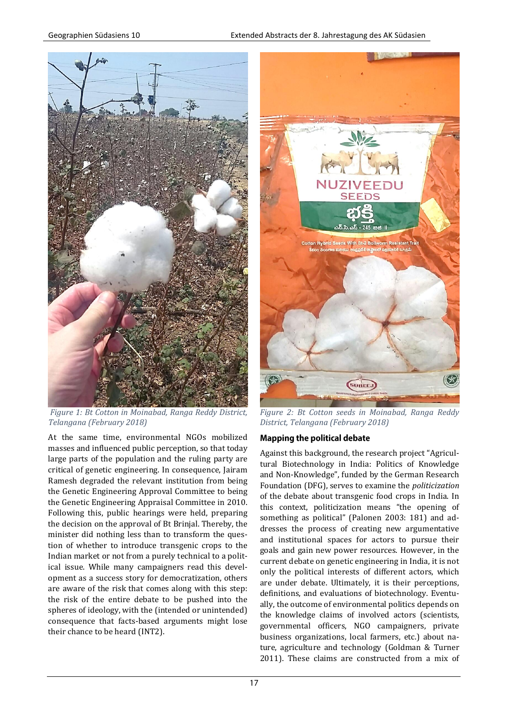

*Figure 1: Bt Cotton in Moinabad, Ranga Reddy District, Telangana (February 2018)*

At the same time, environmental NGOs mobilized masses and influenced public perception, so that today large parts of the population and the ruling party are critical of genetic engineering. In consequence, Jairam Ramesh degraded the relevant institution from being the Genetic Engineering Approval Committee to being the Genetic Engineering Appraisal Committee in 2010. Following this, public hearings were held, preparing the decision on the approval of Bt Brinjal. Thereby, the minister did nothing less than to transform the question of whether to introduce transgenic crops to the Indian market or not from a purely technical to a political issue. While many campaigners read this development as a success story for democratization, others are aware of the risk that comes along with this step: the risk of the entire debate to be pushed into the spheres of ideology, with the (intended or unintended) consequence that facts-based arguments might lose their chance to be heard (INT2).



*Figure 2: Bt Cotton seeds in Moinabad, Ranga Reddy District, Telangana (February 2018)*

## **Mapping the political debate**

Against this background, the research project "Agricultural Biotechnology in India: Politics of Knowledge and Non-Knowledge", funded by the German Research Foundation (DFG), serves to examine the *politicization* of the debate about transgenic food crops in India. In this context, politicization means "the opening of something as political" (Palonen 2003: 181) and addresses the process of creating new argumentative and institutional spaces for actors to pursue their goals and gain new power resources. However, in the current debate on genetic engineering in India, it is not only the political interests of different actors, which are under debate. Ultimately, it is their perceptions, definitions, and evaluations of biotechnology. Eventually, the outcome of environmental politics depends on the knowledge claims of involved actors (scientists, governmental officers, NGO campaigners, private business organizations, local farmers, etc.) about nature, agriculture and technology (Goldman & Turner 2011). These claims are constructed from a mix of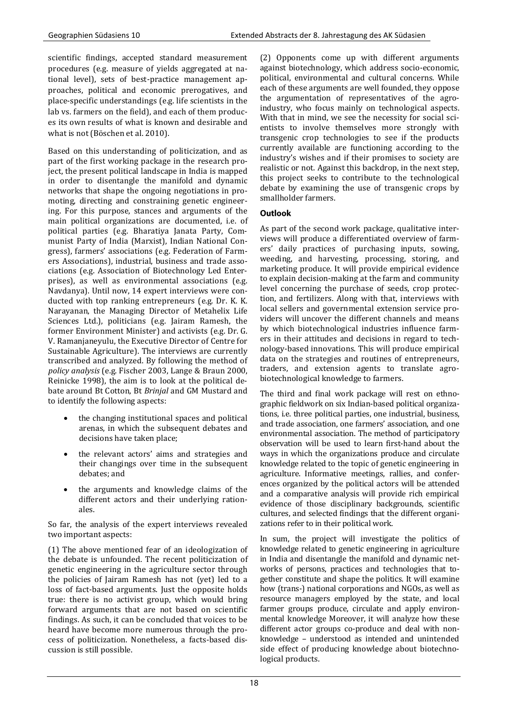scientific findings, accepted standard measurement procedures (e.g. measure of yields aggregated at national level), sets of best-practice management approaches, political and economic prerogatives, and place-specific understandings (e.g. life scientists in the lab vs. farmers on the field), and each of them produces its own results of what is known and desirable and what is not (Böschen et al. 2010).

Based on this understanding of politicization, and as part of the first working package in the research project, the present political landscape in India is mapped in order to disentangle the manifold and dynamic networks that shape the ongoing negotiations in promoting, directing and constraining genetic engineering. For this purpose, stances and arguments of the main political organizations are documented, i.e. of political parties (e.g. Bharatiya Janata Party, Communist Party of India (Marxist), Indian National Congress), farmers' associations (e.g. Federation of Farmers Associations), industrial, business and trade associations (e.g. Association of Biotechnology Led Enterprises), as well as environmental associations (e.g. Navdanya). Until now, 14 expert interviews were conducted with top ranking entrepreneurs (e.g. Dr. K. K. Narayanan, the Managing Director of Metahelix Life Sciences Ltd.), politicians (e.g. Jairam Ramesh, the former Environment Minister) and activists (e.g. Dr. G. V. Ramanjaneyulu, the Executive Director of Centre for Sustainable Agriculture). The interviews are currently transcribed and analyzed. By following the method of *policy analysis* (e.g. Fischer 2003, Lange & Braun 2000, Reinicke 1998), the aim is to look at the political debate around Bt Cotton, Bt *Brinjal* and GM Mustard and to identify the following aspects:

- the changing institutional spaces and political arenas, in which the subsequent debates and decisions have taken place;
- the relevant actors' aims and strategies and their changings over time in the subsequent debates; and
- the arguments and knowledge claims of the different actors and their underlying rationales.

So far, the analysis of the expert interviews revealed two important aspects:

(1) The above mentioned fear of an ideologization of the debate is unfounded. The recent politicization of genetic engineering in the agriculture sector through the policies of Jairam Ramesh has not (yet) led to a loss of fact-based arguments. Just the opposite holds true: there is no activist group, which would bring forward arguments that are not based on scientific findings. As such, it can be concluded that voices to be heard have become more numerous through the process of politicization. Nonetheless, a facts-based discussion is still possible.

(2) Opponents come up with different arguments against biotechnology, which address socio-economic, political, environmental and cultural concerns. While each of these arguments are well founded, they oppose the argumentation of representatives of the agroindustry, who focus mainly on technological aspects. With that in mind, we see the necessity for social scientists to involve themselves more strongly with transgenic crop technologies to see if the products currently available are functioning according to the industry's wishes and if their promises to society are realistic or not. Against this backdrop, in the next step, this project seeks to contribute to the technological debate by examining the use of transgenic crops by smallholder farmers.

#### Outlook

As part of the second work package, qualitative interviews will produce a differentiated overview of farmers' daily practices of purchasing inputs, sowing, weeding, and harvesting, processing, storing, and marketing produce. It will provide empirical evidence to explain decision-making at the farm and community level concerning the purchase of seeds, crop protection, and fertilizers. Along with that, interviews with local sellers and governmental extension service providers will uncover the different channels and means by which biotechnological industries influence farmers in their attitudes and decisions in regard to technology-based innovations. This will produce empirical data on the strategies and routines of entrepreneurs, traders, and extension agents to translate agrobiotechnological knowledge to farmers.

The third and final work package will rest on ethnographic fieldwork on six Indian-based political organizations, i.e. three political parties, one industrial, business, and trade association, one farmers' association, and one environmental association. The method of participatory observation will be used to learn first-hand about the ways in which the organizations produce and circulate knowledge related to the topic of genetic engineering in agriculture. Informative meetings, rallies, and conferences organized by the political actors will be attended and a comparative analysis will provide rich empirical evidence of those disciplinary backgrounds, scientific cultures, and selected findings that the different organizations refer to in their political work.

In sum, the project will investigate the politics of knowledge related to genetic engineering in agriculture in India and disentangle the manifold and dynamic networks of persons, practices and technologies that together constitute and shape the politics. It will examine how (trans-) national corporations and NGOs, as well as resource managers employed by the state, and local farmer groups produce, circulate and apply environmental knowledge Moreover, it will analyze how these different actor groups co-produce and deal with nonknowledge – understood as intended and unintended side effect of producing knowledge about biotechnological products.